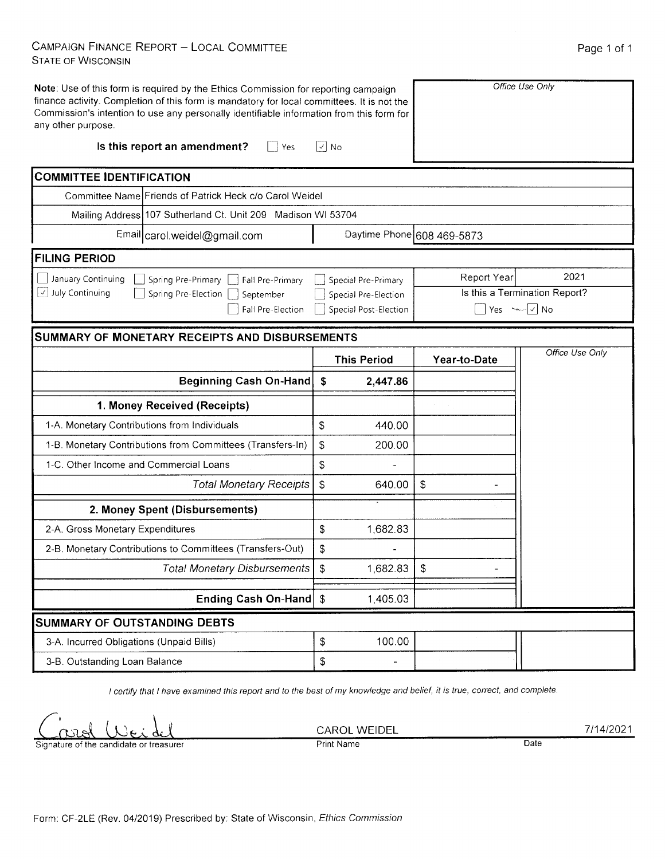## CAMPAIGN FINANCE REPORT - LOCAL COMMITTEE **STATE OF WISCONSIN**

| Note: Use of this form is required by the Ethics Commission for reporting campaign<br>finance activity. Completion of this form is mandatory for local committees. It is not the<br>Commission's intention to use any personally identifiable information from this form for<br>any other purpose.<br>Is this report an amendment?<br>$ $ Yes | $\sqrt{ }$ No |                       |                            | Office Use Only               |
|-----------------------------------------------------------------------------------------------------------------------------------------------------------------------------------------------------------------------------------------------------------------------------------------------------------------------------------------------|---------------|-----------------------|----------------------------|-------------------------------|
|                                                                                                                                                                                                                                                                                                                                               |               |                       |                            |                               |
| <b>COMMITTEE IDENTIFICATION</b>                                                                                                                                                                                                                                                                                                               |               |                       |                            |                               |
| Committee Name Friends of Patrick Heck c/o Carol Weidel                                                                                                                                                                                                                                                                                       |               |                       |                            |                               |
| Mailing Address 107 Sutherland Ct. Unit 209 Madison WI 53704                                                                                                                                                                                                                                                                                  |               |                       |                            |                               |
| Email carol.weidel@gmail.com                                                                                                                                                                                                                                                                                                                  |               |                       | Daytime Phone 608 469-5873 |                               |
| <b>FILING PERIOD</b>                                                                                                                                                                                                                                                                                                                          |               |                       |                            |                               |
| January Continuing<br>Spring Pre-Primary<br>Fall Pre-Primary                                                                                                                                                                                                                                                                                  |               | Special Pre-Primary   | <b>Report Year</b>         | 2021                          |
| July Continuing<br>$\vert$<br>Spring Pre-Election<br>September                                                                                                                                                                                                                                                                                |               | Special Pre-Election  |                            | Is this a Termination Report? |
| Fall Pre-Election                                                                                                                                                                                                                                                                                                                             |               | Special Post-Election |                            | Yes $\sim$ $\sqrt{}$ No       |
| <b>SUMMARY OF MONETARY RECEIPTS AND DISBURSEMENTS</b>                                                                                                                                                                                                                                                                                         |               |                       |                            |                               |
|                                                                                                                                                                                                                                                                                                                                               |               | <b>This Period</b>    | Year-to-Date               | Office Use Only               |
| <b>Beginning Cash On-Hand</b>                                                                                                                                                                                                                                                                                                                 | \$            | 2,447.86              |                            |                               |
| 1. Money Received (Receipts)                                                                                                                                                                                                                                                                                                                  |               |                       |                            |                               |
| 1-A. Monetary Contributions from Individuals                                                                                                                                                                                                                                                                                                  | \$            | 440.00                |                            |                               |
| 1-B. Monetary Contributions from Committees (Transfers-In)                                                                                                                                                                                                                                                                                    | \$            | 200.00                |                            |                               |
| 1-C. Other Income and Commercial Loans                                                                                                                                                                                                                                                                                                        | \$            |                       |                            |                               |
| <b>Total Monetary Receipts</b>                                                                                                                                                                                                                                                                                                                | \$            | 640.00                | \$                         |                               |
| 2. Money Spent (Disbursements)                                                                                                                                                                                                                                                                                                                |               |                       |                            |                               |
| 2-A. Gross Monetary Expenditures                                                                                                                                                                                                                                                                                                              | $\, \, \$$    | 1,682.83              |                            |                               |
| 2-B. Monetary Contributions to Committees (Transfers-Out)                                                                                                                                                                                                                                                                                     | \$            |                       |                            |                               |
| Total Monetary Disbursements   \$                                                                                                                                                                                                                                                                                                             |               | $1,682.83$   \$       |                            |                               |
| Ending Cash On-Hand   \$                                                                                                                                                                                                                                                                                                                      |               | 1,405.03              |                            |                               |
| <b>SUMMARY OF OUTSTANDING DEBTS</b>                                                                                                                                                                                                                                                                                                           |               |                       |                            |                               |
|                                                                                                                                                                                                                                                                                                                                               |               |                       |                            |                               |
| 3-A. Incurred Obligations (Unpaid Bills)                                                                                                                                                                                                                                                                                                      | \$            | 100.00                |                            |                               |

I certify that I have examined this report and to the best of my knowledge and belief, it is true, correct, and complete.

CAROL WEIDEL Print Name

7/14/2021

**Date** 

Signature of the candidate or treasurer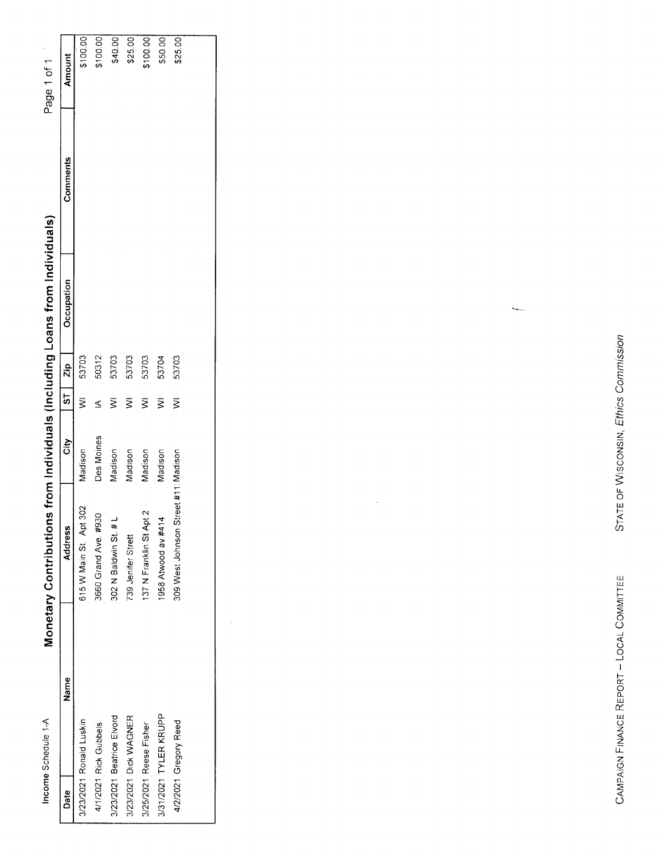| Income Schedule 1-A       | Monetary Contributions               |            |   |       | from Individuals (Including Loans from Individuals) |          | Page 1 of 1 |
|---------------------------|--------------------------------------|------------|---|-------|-----------------------------------------------------|----------|-------------|
| Name<br>Date              | Address                              | ້ອ້        | 5 | Zip   | Occupation                                          | Comments | Amount      |
| 3/23/2021 Ronald Luskin   | 615 W Main St. Apt 302               | nadison    |   | 53703 |                                                     |          | \$100.00    |
| 4/1/2021 Rick Gubbels     | 3660 Grand Ave. #930                 | Des Moines |   | 50312 |                                                     |          | \$100.00    |
| 3/23/2021 Beatrice Elvord | 302 N Baldwin St. # L                | nosipely   |   | 53703 |                                                     |          | \$40.00     |
| 3/23/2021 Dick WAGNER     | 739 Jenifer Strett                   | nosibel    |   | 53703 |                                                     |          | \$25.00     |
| 3/25/2021 Reese Fisher    | 137 N Franklin St Apt 2              | nosibsh    |   | 53703 |                                                     |          | 100.00      |
| 3/31/2021 TYLER KRUPP     | 1958 Atwood av #414                  | Madison    |   | 53704 |                                                     |          | \$50.00     |
| 4/2/2021 Gregory Reed     | 309 West Johnson Street #11: Madison |            | ξ | 53703 |                                                     |          | \$25.00     |
|                           |                                      |            |   |       |                                                     |          |             |

CAMPAIGN FINANCE REPORT - LOCAL COMMITTEE

STATE OF WISCONSIN, Ethics Commission

 $\mathcal{L}_{\text{max}}$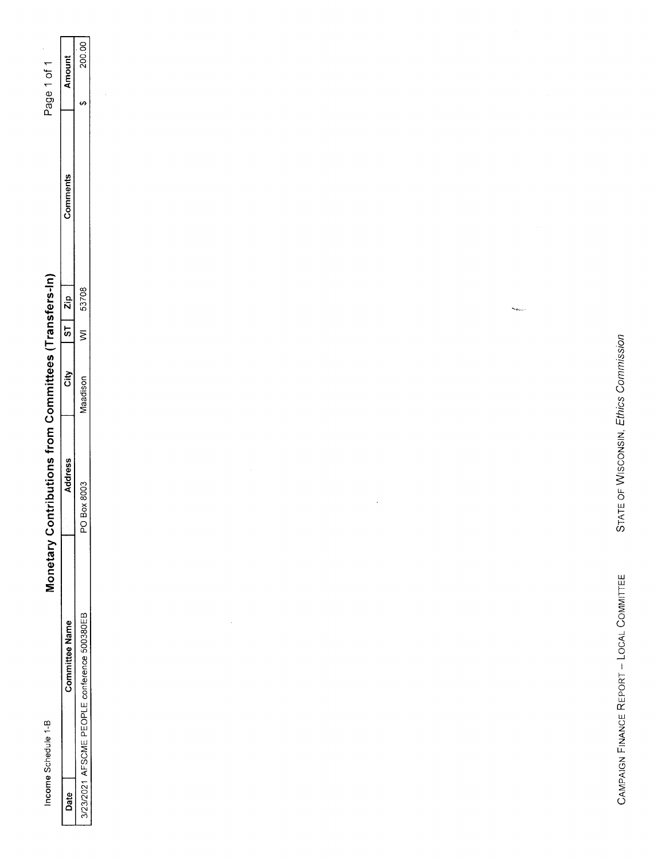| Income Schedule 1-B                         | Monetary Contributions from Committees (Transfers-In) |          |                   |       |          | $\bar{\epsilon}$<br>Page 1 of 1  |
|---------------------------------------------|-------------------------------------------------------|----------|-------------------|-------|----------|----------------------------------|
| <b>Committee Name</b>                       | Address                                               | Gity     | $5^{\circ}$       | Zip.  | Comments | <b>Amount</b>                    |
| 3/23/2021 AFSCME PEOPLE conference 500380EB | PO Box 8003                                           | Maadison | $\overline{\geq}$ | 53708 |          | 200.00<br>$\boldsymbol{\varphi}$ |
|                                             |                                                       |          |                   |       |          | $\lambda$                        |
|                                             |                                                       |          |                   |       |          |                                  |
|                                             |                                                       |          |                   |       |          |                                  |
|                                             |                                                       |          |                   |       |          |                                  |
|                                             |                                                       |          |                   |       |          |                                  |
|                                             | $\sim$                                                |          |                   |       |          |                                  |
|                                             |                                                       |          |                   |       |          |                                  |
|                                             |                                                       |          |                   |       |          |                                  |
|                                             |                                                       |          |                   |       |          |                                  |
|                                             | $\epsilon$                                            |          |                   |       |          |                                  |
|                                             |                                                       |          |                   |       |          |                                  |
|                                             |                                                       |          |                   |       |          |                                  |
|                                             |                                                       |          |                   |       |          |                                  |
|                                             |                                                       |          | <b>Secure</b>     |       |          |                                  |
|                                             |                                                       |          |                   |       | $\sim$   | $\sim$                           |
|                                             |                                                       |          |                   |       |          |                                  |
|                                             |                                                       |          |                   |       |          |                                  |
| CAMPAIGN FINANCE REPORT - LOCAL COMMITTEE   | STATE OF WISCONSIN, Ethics Commission                 |          |                   |       |          |                                  |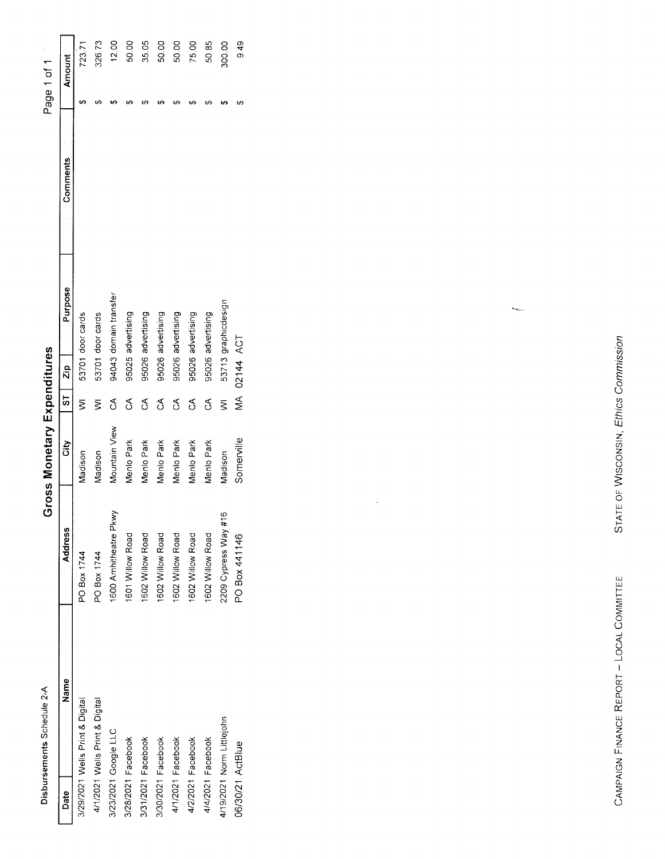| 1 |
|---|
| ſ |
|   |
|   |
|   |
|   |
|   |
|   |
|   |
|   |
|   |
|   |
|   |
|   |
|   |
|   |
|   |
|   |
|   |
|   |
|   |

**Gross Monetary Expenditures** 

Page 1 of 1

|                                 |                        | כי להתנועות המוני המוני המוני המוני המוני המוני המוני המוני המוני המוני המוני המוני המוני המוני המוני המוני המ |                          |           |                       |          | - 15 - 15 - 15 - 15 - |        |
|---------------------------------|------------------------|----------------------------------------------------------------------------------------------------------------|--------------------------|-----------|-----------------------|----------|-----------------------|--------|
| Name<br>Date                    | Address                | š                                                                                                              | $\overline{\phantom{0}}$ | Zip       | <b>Purpose</b>        | Comments |                       | Amount |
| 3/29/2021 Wells Print & Digital | PO Box 1744            | Madison                                                                                                        | ξ                        |           | 53701 door cards      |          |                       | 723.71 |
| 4/1/2021 Wells Print & Digital  | PO Box 1744            | Madison                                                                                                        | ξ                        |           | 53701 door cards      |          |                       | 326.73 |
| 3/23/2021 Google LLC            | 1600 Amhitheatre Pkwy  | Mountain View                                                                                                  | S                        |           | 94043 domain transfer |          |                       | 12.00  |
| 3/28/2021 Facebook              | 601 Willow Road        | Menio Park                                                                                                     | న్                       |           | 95025 advertising     |          |                       | 50.00  |
| 3/31/2021 Facebook              | 602 Willow Road        | Menio Park                                                                                                     | Ś                        |           | 95026 advertising     |          |                       | 35.05  |
| 3/30/2021 Facebook              | 602 Willow Road        | Menlo Park                                                                                                     | Ś                        |           | 95026 advertising     |          |                       | 50.00  |
| 4/1/2021 Facebook               | 602 Willow Road        | Menio Park                                                                                                     | S                        |           | 95026 advertising     |          |                       | 50.00  |
| 4/2/2021 Facebook               | 602 Willow Road        | Menlo Park                                                                                                     | S                        |           | 95026 advertising     |          |                       | 75.00  |
| 4/4/2021 Facebook               | 1602 Willow Road       | Menio Park                                                                                                     | S                        |           | 95026 advertising     |          |                       | 50.85  |
| 4/19/2021 Norm Littlejohn       | $2209$ Cypress Way #16 | Madison                                                                                                        | ξ                        |           | 53713 graphicdesign   |          |                       | 300.00 |
| 06/30/21 ActBlue                | PO Box 441146          | Somerville                                                                                                     | ⋚                        | 02144 ACT |                       |          |                       | 9.49   |
|                                 |                        |                                                                                                                |                          |           |                       |          |                       |        |

STATE OF WISCONSIN, Ethics Commission

 $\zeta_{\rm{max}}$